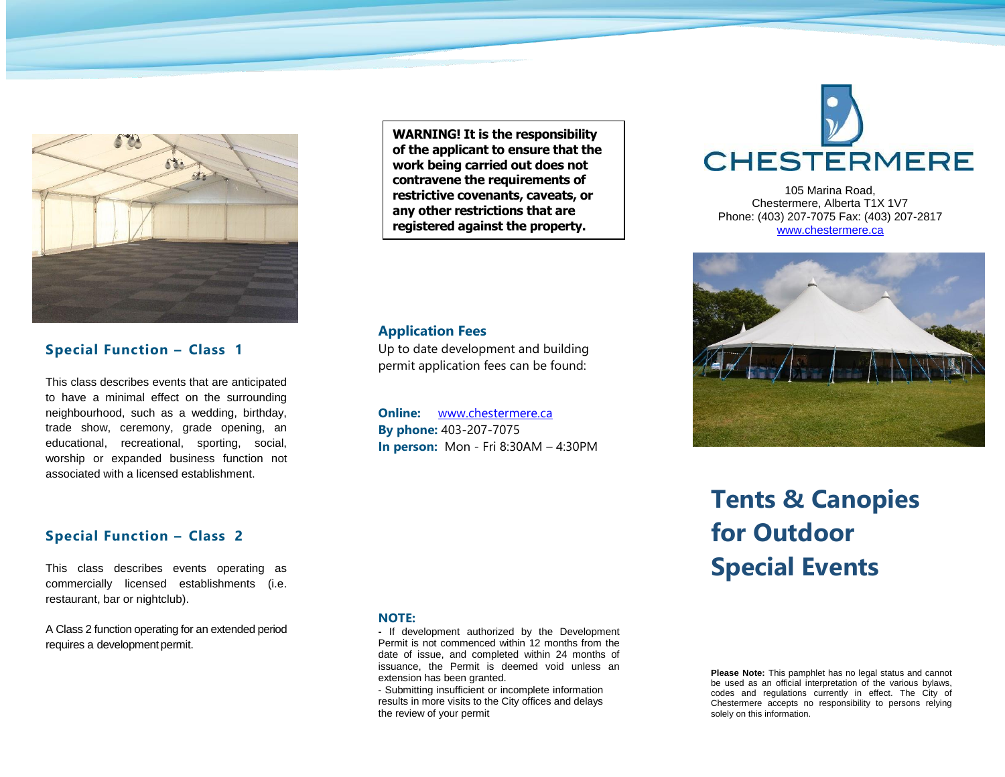

#### **Special Function – Class 1**

This class describes events that are anticipated to have a minimal effect on the surrounding neighbourhood, such as a wedding, birthday, trade show, ceremony, grade opening, an educational, recreational, sporting, social, worship or expanded business function not associated with a licensed establishment.

#### **Special Function – Class 2**

This class describes events operating as commercially licensed establishments (i.e. restaurant, bar or nightclub).

A Class 2 function operating for an extended period requires a development permit.

# **NOTE:**

**Application Fees**

**-** If development authorized by the Development Permit is not commenced within 12 months from the date of issue, and completed within 24 months of issuance, the Permit is deemed void unless an extension has been granted.

**WARNING! It is the responsibility of the applicant to ensure that the work being carried out does not contravene the requirements of restrictive covenants, caveats, or any other restrictions that are registered against the property.**

Up to date development and building permit application fees can be found:

**In person:** Mon - Fri 8:30AM – 4:30PM

**Online:** [www.chestermere.ca](http://www.chestermere.ca/) **By phone:** 403-207-7075

- Submitting insufficient or incomplete information results in more visits to the City offices and delays the review of your permit

**CHESTERMERE** 

105 Marina Road, Chestermere, Alberta T1X 1V7 Phone: (403) 207-7075 Fax: (403) 207-2817 [www.chestermere.ca](http://www.chestermere.ca/)



# **Tents & Canopies for Outdoor Special Events**

**Please Note:** This pamphlet has no legal status and cannot be used as an official interpretation of the various bylaws, codes and regulations currently in effect. The City of Chestermere accepts no responsibility to persons relying solely on this information.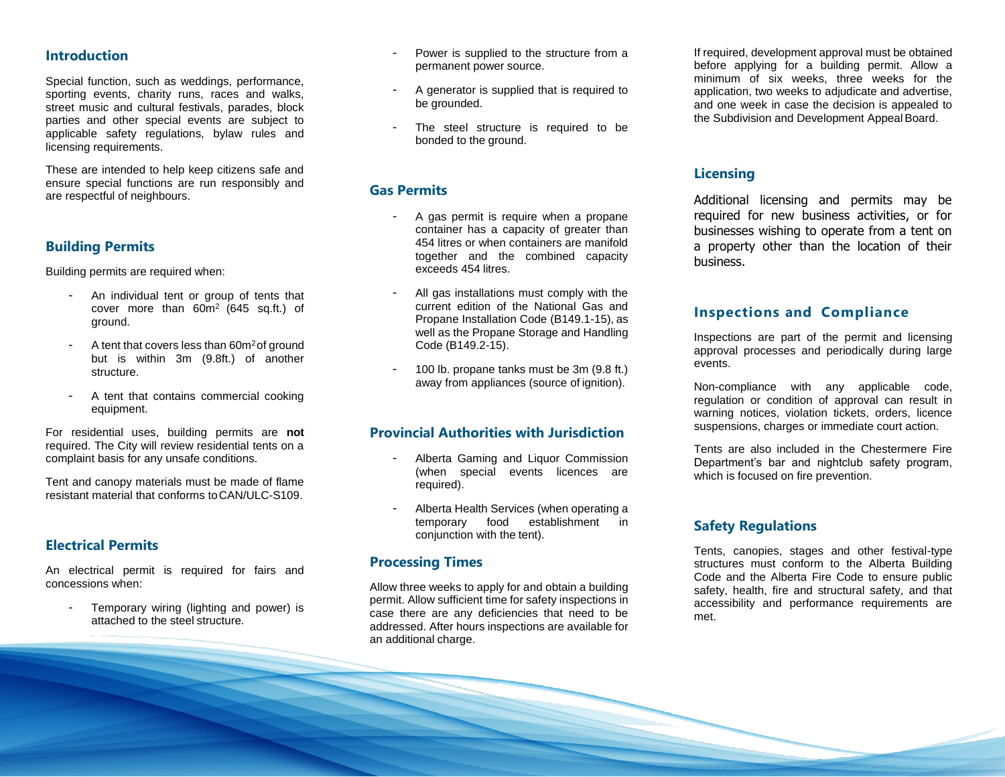#### **Introduction**

Special function, such as weddings, performance, sporting events, charity runs, races and walks, street music and cultural festivals, parades, block parties and other special events are subject to applicable safety regulations, bylaw rules and licensing requirements.

These are intended to help keep citizens safe and ensure special functions are run responsibly and are respectful of neighbours.

#### **Building Permits**

Building permits are required when:

- An individual tent or group of tents that cover more than  $60m^2$  (645 sq.ft.) of ground.
- A tent that covers less than 60m<sup>2</sup> of ground but is within 3m (9.8ft.) of another structure.
- A tent that contains commercial cooking equipment.

For residential uses, building permits are **not**  required. The City will review residential tents on a complaint basis for any unsafe conditions.

Tent and canopy materials must be made of flame resistant material that conforms toCAN/ULC-S109.

#### **Electrical Permits**

An electrical permit is required for fairs and concessions when:

Temporary wiring (lighting and power) is attached to the steel structure.

- Power is supplied to the structure from a permanent power source.
- A generator is supplied that is required to be grounded.
- The steel structure is required to be bonded to the ground.

#### **Gas Permits**

- A gas permit is require when a propane container has a capacity of greater than 454 litres or when containers are manifold together and the combined capacity exceeds 454 litres.
- All gas installations must comply with the current edition of the National Gas and Propane Installation Code (B149.1-15), as well as the Propane Storage and Handling Code (B149.2-15).
- 100 lb. propane tanks must be 3m (9.8 ft.) away from appliances (source of ignition).

#### **Provincial Authorities with Jurisdiction**

- Alberta Gaming and Liquor Commission (when special events licences are required).
- Alberta Health Services (when operating a temporary food establishment in conjunction with the tent).

#### **Processing Times**

Allow three weeks to apply for and obtain a building permit. Allow sufficient time for safety inspections in case there are any deficiencies that need to be addressed. After hours inspections are available for an additional charge.

If required, development approval must be obtained before applying for a building permit. Allow a minimum of six weeks, three weeks for the application, two weeks to adjudicate and advertise, and one week in case the decision is appealed to the Subdivision and Development Appeal Board.

#### **Licensing**

Additional licensing and permits may be required for new business activities, or for businesses wishing to operate from a tent on a property other than the location of their business.

#### **Inspections and Compliance**

Inspections are part of the permit and licensing approval processes and periodically during large events.

Non-compliance with any applicable code, regulation or condition of approval can result in warning notices, violation tickets, orders, licence suspensions, charges or immediate court action.

Tents are also included in the Chestermere Fire Department's bar and nightclub safety program, which is focused on fire prevention.

#### **Safety Regulations**

Tents, canopies, stages and other festival-type structures must conform to the Alberta Building Code and the Alberta Fire Code to ensure public safety, health, fire and structural safety, and that accessibility and performance requirements are met.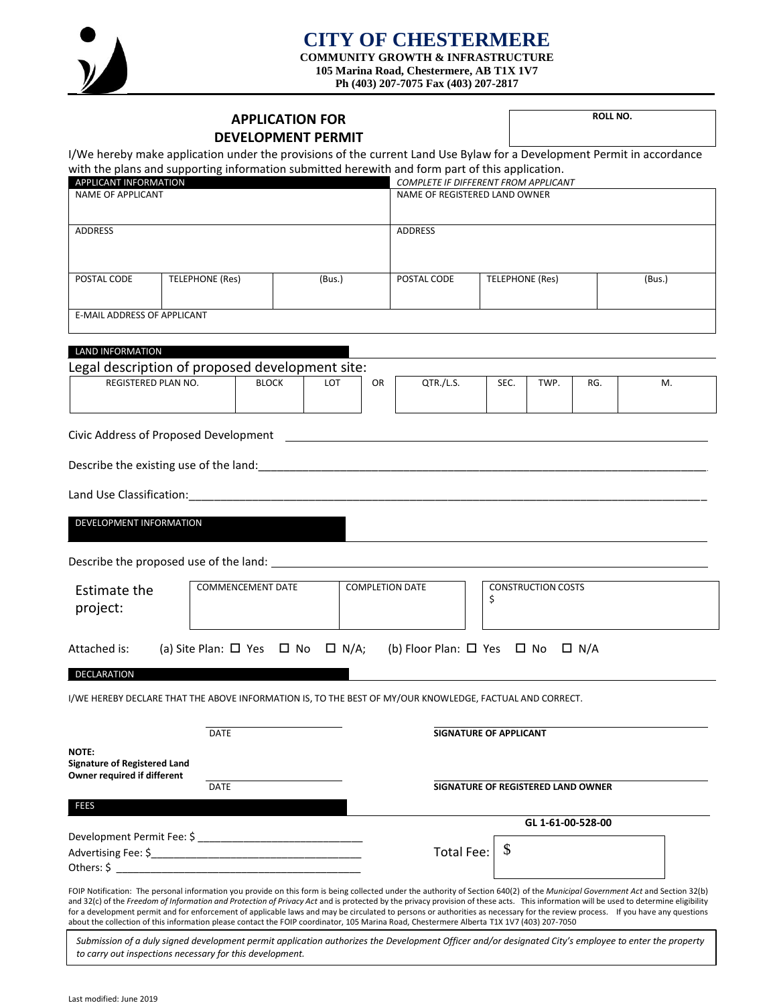

#### **CITY OF CHESTERMERE COMMUNITY GROWTH & INFRASTRUCTURE 105 Marina Road, Chestermere, AB T1X 1V7**

**Ph (403) 207-7075 Fax (403) 207-2817**

| <b>APPLICATION FOR</b><br><b>DEVELOPMENT PERMIT</b>                                                                                                            |                                                                                                                                                                                                                                                                                                                                                                                                                                                                                                                                                                                                                                                                                                         |                     |    |                                                           |                           | ROLL NO.          |     |    |  |
|----------------------------------------------------------------------------------------------------------------------------------------------------------------|---------------------------------------------------------------------------------------------------------------------------------------------------------------------------------------------------------------------------------------------------------------------------------------------------------------------------------------------------------------------------------------------------------------------------------------------------------------------------------------------------------------------------------------------------------------------------------------------------------------------------------------------------------------------------------------------------------|---------------------|----|-----------------------------------------------------------|---------------------------|-------------------|-----|----|--|
|                                                                                                                                                                | I/We hereby make application under the provisions of the current Land Use Bylaw for a Development Permit in accordance                                                                                                                                                                                                                                                                                                                                                                                                                                                                                                                                                                                  |                     |    |                                                           |                           |                   |     |    |  |
| <b>APPLICANT INFORMATION</b>                                                                                                                                   | with the plans and supporting information submitted herewith and form part of this application.                                                                                                                                                                                                                                                                                                                                                                                                                                                                                                                                                                                                         |                     |    | COMPLETE IF DIFFERENT FROM APPLICANT                      |                           |                   |     |    |  |
| <b>NAME OF APPLICANT</b>                                                                                                                                       |                                                                                                                                                                                                                                                                                                                                                                                                                                                                                                                                                                                                                                                                                                         |                     |    | NAME OF REGISTERED LAND OWNER                             |                           |                   |     |    |  |
|                                                                                                                                                                |                                                                                                                                                                                                                                                                                                                                                                                                                                                                                                                                                                                                                                                                                                         |                     |    |                                                           |                           |                   |     |    |  |
| <b>ADDRESS</b>                                                                                                                                                 |                                                                                                                                                                                                                                                                                                                                                                                                                                                                                                                                                                                                                                                                                                         |                     |    | <b>ADDRESS</b>                                            |                           |                   |     |    |  |
|                                                                                                                                                                |                                                                                                                                                                                                                                                                                                                                                                                                                                                                                                                                                                                                                                                                                                         |                     |    |                                                           |                           |                   |     |    |  |
| POSTAL CODE                                                                                                                                                    | TELEPHONE (Res)                                                                                                                                                                                                                                                                                                                                                                                                                                                                                                                                                                                                                                                                                         | (Bus.)              |    |                                                           | TELEPHONE (Res)<br>(Bus.) |                   |     |    |  |
| <b>E-MAIL ADDRESS OF APPLICANT</b>                                                                                                                             |                                                                                                                                                                                                                                                                                                                                                                                                                                                                                                                                                                                                                                                                                                         |                     |    |                                                           |                           |                   |     |    |  |
| <b>LAND INFORMATION</b>                                                                                                                                        |                                                                                                                                                                                                                                                                                                                                                                                                                                                                                                                                                                                                                                                                                                         |                     |    |                                                           |                           |                   |     |    |  |
|                                                                                                                                                                | Legal description of proposed development site:                                                                                                                                                                                                                                                                                                                                                                                                                                                                                                                                                                                                                                                         |                     |    |                                                           |                           |                   |     |    |  |
| <b>REGISTERED PLAN NO.</b>                                                                                                                                     |                                                                                                                                                                                                                                                                                                                                                                                                                                                                                                                                                                                                                                                                                                         | <b>BLOCK</b><br>LOT | OR | QTR./L.S.                                                 | SEC.                      | TWP.              | RG. | М. |  |
| Civic Address of Proposed Development<br><u> 1989 - Johann Stoff, deutscher Stoffen und der Stoffen und der Stoffen und der Stoffen und der Stoffen und de</u> |                                                                                                                                                                                                                                                                                                                                                                                                                                                                                                                                                                                                                                                                                                         |                     |    |                                                           |                           |                   |     |    |  |
|                                                                                                                                                                |                                                                                                                                                                                                                                                                                                                                                                                                                                                                                                                                                                                                                                                                                                         |                     |    |                                                           |                           |                   |     |    |  |
| Land Use Classification: Manual Assembly Discussed Assembly Discussed Assembly Discussed Assembly Discussed As                                                 |                                                                                                                                                                                                                                                                                                                                                                                                                                                                                                                                                                                                                                                                                                         |                     |    |                                                           |                           |                   |     |    |  |
| DEVELOPMENT INFORMATION                                                                                                                                        |                                                                                                                                                                                                                                                                                                                                                                                                                                                                                                                                                                                                                                                                                                         |                     |    |                                                           |                           |                   |     |    |  |
|                                                                                                                                                                |                                                                                                                                                                                                                                                                                                                                                                                                                                                                                                                                                                                                                                                                                                         |                     |    |                                                           |                           |                   |     |    |  |
| Estimate the                                                                                                                                                   | <b>COMMENCEMENT DATE</b>                                                                                                                                                                                                                                                                                                                                                                                                                                                                                                                                                                                                                                                                                |                     |    | <b>COMPLETION DATE</b><br><b>CONSTRUCTION COSTS</b><br>\$ |                           |                   |     |    |  |
| project:                                                                                                                                                       |                                                                                                                                                                                                                                                                                                                                                                                                                                                                                                                                                                                                                                                                                                         |                     |    |                                                           |                           |                   |     |    |  |
| Attached is:                                                                                                                                                   | (a) Site Plan: $\Box$ Yes $\Box$ No $\Box$ N/A;                                                                                                                                                                                                                                                                                                                                                                                                                                                                                                                                                                                                                                                         |                     |    | (b) Floor Plan: $\Box$ Yes $\Box$ No $\Box$ N/A           |                           |                   |     |    |  |
| DECLARATION                                                                                                                                                    |                                                                                                                                                                                                                                                                                                                                                                                                                                                                                                                                                                                                                                                                                                         |                     |    |                                                           |                           |                   |     |    |  |
|                                                                                                                                                                | I/WE HEREBY DECLARE THAT THE ABOVE INFORMATION IS, TO THE BEST OF MY/OUR KNOWLEDGE, FACTUAL AND CORRECT.                                                                                                                                                                                                                                                                                                                                                                                                                                                                                                                                                                                                |                     |    |                                                           |                           |                   |     |    |  |
|                                                                                                                                                                | <b>DATE</b>                                                                                                                                                                                                                                                                                                                                                                                                                                                                                                                                                                                                                                                                                             |                     |    | <b>SIGNATURE OF APPLICANT</b>                             |                           |                   |     |    |  |
| NOTE:<br><b>Signature of Registered Land</b><br>Owner required if different                                                                                    |                                                                                                                                                                                                                                                                                                                                                                                                                                                                                                                                                                                                                                                                                                         |                     |    |                                                           |                           |                   |     |    |  |
| <b>DATE</b><br>SIGNATURE OF REGISTERED LAND OWNER                                                                                                              |                                                                                                                                                                                                                                                                                                                                                                                                                                                                                                                                                                                                                                                                                                         |                     |    |                                                           |                           |                   |     |    |  |
| <b>FEES</b>                                                                                                                                                    |                                                                                                                                                                                                                                                                                                                                                                                                                                                                                                                                                                                                                                                                                                         |                     |    |                                                           |                           | GL 1-61-00-528-00 |     |    |  |
|                                                                                                                                                                |                                                                                                                                                                                                                                                                                                                                                                                                                                                                                                                                                                                                                                                                                                         |                     |    |                                                           |                           |                   |     |    |  |
|                                                                                                                                                                |                                                                                                                                                                                                                                                                                                                                                                                                                                                                                                                                                                                                                                                                                                         |                     |    | S<br><b>Total Fee:</b>                                    |                           |                   |     |    |  |
|                                                                                                                                                                | FOIP Notification: The personal information you provide on this form is being collected under the authority of Section 640(2) of the Municipal Government Act and Section 32(b)<br>and 32(c) of the Freedom of Information and Protection of Privacy Act and is protected by the privacy provision of these acts. This information will be used to determine eligibility<br>for a development permit and for enforcement of applicable laws and may be circulated to persons or authorities as necessary for the review process. If you have any questions<br>about the collection of this information please contact the FOIP coordinator, 105 Marina Road, Chestermere Alberta T1X 1V7 (403) 207-7050 |                     |    |                                                           |                           |                   |     |    |  |
|                                                                                                                                                                | Submission of a duly signed development permit application authorizes the Development Officer and/or designated City's employee to enter the property<br>to carry out inspections necessary for this development.                                                                                                                                                                                                                                                                                                                                                                                                                                                                                       |                     |    |                                                           |                           |                   |     |    |  |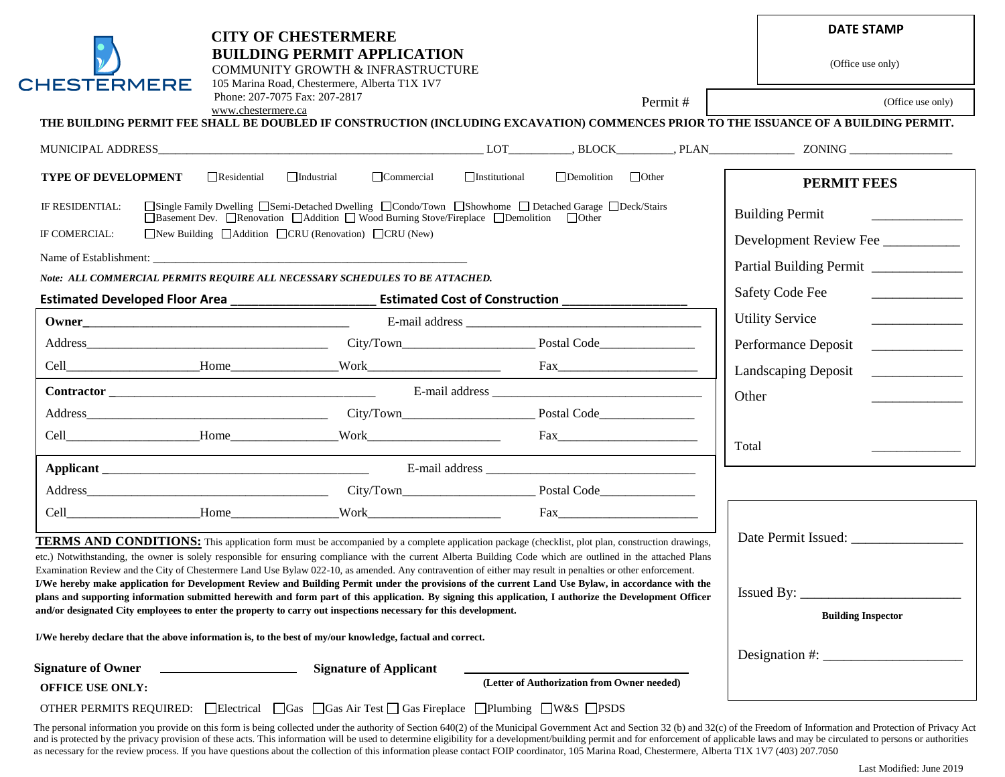| <b>CHESTERMERE</b>                                                                                                                                                                                                                                                                                                                                                                                                               | <b>CITY OF CHESTERMERE</b><br><b>BUILDING PERMIT APPLICATION</b><br>COMMUNITY GROWTH & INFRASTRUCTURE<br>105 Marina Road, Chestermere, Alberta T1X 1V7                                                                                                                                                                                                                                                                                                                                  |                                             |                                |                              | <b>DATE STAMP</b><br>(Office use only)                                                                                                                                                                                                                                                                                                                                                                                                           |  |
|----------------------------------------------------------------------------------------------------------------------------------------------------------------------------------------------------------------------------------------------------------------------------------------------------------------------------------------------------------------------------------------------------------------------------------|-----------------------------------------------------------------------------------------------------------------------------------------------------------------------------------------------------------------------------------------------------------------------------------------------------------------------------------------------------------------------------------------------------------------------------------------------------------------------------------------|---------------------------------------------|--------------------------------|------------------------------|--------------------------------------------------------------------------------------------------------------------------------------------------------------------------------------------------------------------------------------------------------------------------------------------------------------------------------------------------------------------------------------------------------------------------------------------------|--|
|                                                                                                                                                                                                                                                                                                                                                                                                                                  | Phone: 207-7075 Fax: 207-2817<br>www.chestermere.ca                                                                                                                                                                                                                                                                                                                                                                                                                                     |                                             |                                | Permit#                      | (Office use only)                                                                                                                                                                                                                                                                                                                                                                                                                                |  |
|                                                                                                                                                                                                                                                                                                                                                                                                                                  | THE BUILDING PERMIT FEE SHALL BE DOUBLED IF CONSTRUCTION (INCLUDING EXCAVATION) COMMENCES PRIOR TO THE ISSUANCE OF A BUILDING PERMIT.                                                                                                                                                                                                                                                                                                                                                   |                                             |                                |                              |                                                                                                                                                                                                                                                                                                                                                                                                                                                  |  |
|                                                                                                                                                                                                                                                                                                                                                                                                                                  |                                                                                                                                                                                                                                                                                                                                                                                                                                                                                         |                                             |                                |                              |                                                                                                                                                                                                                                                                                                                                                                                                                                                  |  |
| <b>TYPE OF DEVELOPMENT</b>                                                                                                                                                                                                                                                                                                                                                                                                       | $\Box$ Commercial<br>$\Box$ Residential<br>$\Box$ Industrial                                                                                                                                                                                                                                                                                                                                                                                                                            | $\Box$ Institutional                        | $\Box$ Demolition $\Box$ Other |                              | <b>PERMIT FEES</b>                                                                                                                                                                                                                                                                                                                                                                                                                               |  |
| □Single Family Dwelling □Semi-Detached Dwelling □Condo/Town □Showhome □ Detached Garage □Deck/Stairs<br>IF RESIDENTIAL:<br>□Basement Dev. □Renovation □Addition □ Wood Burning Stove/Fireplace □Demolition □Other<br>$\Box$ New Building $\Box$ Addition $\Box$ CRU (Renovation) $\Box$ CRU (New)<br>IF COMERCIAL:                                                                                                               | <b>Building Permit</b><br><u> 1986 - John Stone, Amerikaansk politiker</u>                                                                                                                                                                                                                                                                                                                                                                                                              |                                             |                                |                              |                                                                                                                                                                                                                                                                                                                                                                                                                                                  |  |
| Name of Establishment:                                                                                                                                                                                                                                                                                                                                                                                                           | Development Review Fee<br>Partial Building Permit                                                                                                                                                                                                                                                                                                                                                                                                                                       |                                             |                                |                              |                                                                                                                                                                                                                                                                                                                                                                                                                                                  |  |
| Note: ALL COMMERCIAL PERMITS REQUIRE ALL NECESSARY SCHEDULES TO BE ATTACHED.                                                                                                                                                                                                                                                                                                                                                     | <b>Safety Code Fee</b>                                                                                                                                                                                                                                                                                                                                                                                                                                                                  |                                             |                                |                              |                                                                                                                                                                                                                                                                                                                                                                                                                                                  |  |
|                                                                                                                                                                                                                                                                                                                                                                                                                                  |                                                                                                                                                                                                                                                                                                                                                                                                                                                                                         |                                             |                                |                              |                                                                                                                                                                                                                                                                                                                                                                                                                                                  |  |
|                                                                                                                                                                                                                                                                                                                                                                                                                                  |                                                                                                                                                                                                                                                                                                                                                                                                                                                                                         |                                             |                                |                              | <b>Utility Service</b><br>$\begin{tabular}{ccccc} \multicolumn{2}{c }{\textbf{1} & \textbf{2} & \textbf{3} & \textbf{4} & \textbf{5} & \textbf{5} & \textbf{6} & \textbf{6} & \textbf{7} & \textbf{8} & \textbf{8} & \textbf{9} & \textbf{10} & \textbf{10} & \textbf{10} & \textbf{10} & \textbf{10} & \textbf{10} & \textbf{10} & \textbf{10} & \textbf{10} & \textbf{10} & \textbf{10} & \textbf{10} & \textbf{10} & \textbf{10} & \textbf{1$ |  |
|                                                                                                                                                                                                                                                                                                                                                                                                                                  |                                                                                                                                                                                                                                                                                                                                                                                                                                                                                         |                                             |                                |                              | Performance Deposit                                                                                                                                                                                                                                                                                                                                                                                                                              |  |
|                                                                                                                                                                                                                                                                                                                                                                                                                                  |                                                                                                                                                                                                                                                                                                                                                                                                                                                                                         |                                             |                                |                              | Landscaping Deposit                                                                                                                                                                                                                                                                                                                                                                                                                              |  |
|                                                                                                                                                                                                                                                                                                                                                                                                                                  | <b>Contractor</b> E-mail address E-mail and E-mail address E-mail and E-mail address E-mail and E-mail and E-mail address E-mail and E-mail address E-mail and E-mail address E-mail and E-mail address E-mail and E-mail and E-mai                                                                                                                                                                                                                                                     |                                             |                                |                              |                                                                                                                                                                                                                                                                                                                                                                                                                                                  |  |
|                                                                                                                                                                                                                                                                                                                                                                                                                                  |                                                                                                                                                                                                                                                                                                                                                                                                                                                                                         |                                             |                                |                              |                                                                                                                                                                                                                                                                                                                                                                                                                                                  |  |
|                                                                                                                                                                                                                                                                                                                                                                                                                                  |                                                                                                                                                                                                                                                                                                                                                                                                                                                                                         |                                             |                                |                              | Total                                                                                                                                                                                                                                                                                                                                                                                                                                            |  |
|                                                                                                                                                                                                                                                                                                                                                                                                                                  |                                                                                                                                                                                                                                                                                                                                                                                                                                                                                         |                                             |                                |                              |                                                                                                                                                                                                                                                                                                                                                                                                                                                  |  |
|                                                                                                                                                                                                                                                                                                                                                                                                                                  |                                                                                                                                                                                                                                                                                                                                                                                                                                                                                         |                                             |                                |                              |                                                                                                                                                                                                                                                                                                                                                                                                                                                  |  |
|                                                                                                                                                                                                                                                                                                                                                                                                                                  |                                                                                                                                                                                                                                                                                                                                                                                                                                                                                         |                                             |                                | $\text{Fax}\_\_\_\_\_\_\_\_$ |                                                                                                                                                                                                                                                                                                                                                                                                                                                  |  |
|                                                                                                                                                                                                                                                                                                                                                                                                                                  | <b>TERMS AND CONDITIONS:</b> This application form must be accompanied by a complete application package (checklist, plot plan, construction drawings,<br>etc.) Notwithstanding, the owner is solely responsible for ensuring compliance with the current Alberta Building Code which are outlined in the attached Plans<br>Examination Review and the City of Chestermere Land Use Bylaw 022-10, as amended. Any contravention of either may result in penalties or other enforcement. |                                             |                                |                              |                                                                                                                                                                                                                                                                                                                                                                                                                                                  |  |
| I/We hereby make application for Development Review and Building Permit under the provisions of the current Land Use Bylaw, in accordance with the<br>plans and supporting information submitted herewith and form part of this application. By signing this application, I authorize the Development Officer<br>and/or designated City employees to enter the property to carry out inspections necessary for this development. |                                                                                                                                                                                                                                                                                                                                                                                                                                                                                         |                                             |                                |                              | $T = 1.7$<br>Is sued By:<br><b>Building Inspector</b>                                                                                                                                                                                                                                                                                                                                                                                            |  |
| I/We hereby declare that the above information is, to the best of my/our knowledge, factual and correct.                                                                                                                                                                                                                                                                                                                         |                                                                                                                                                                                                                                                                                                                                                                                                                                                                                         |                                             |                                |                              |                                                                                                                                                                                                                                                                                                                                                                                                                                                  |  |
| <b>Signature of Owner</b>                                                                                                                                                                                                                                                                                                                                                                                                        | <b>Signature of Applicant</b>                                                                                                                                                                                                                                                                                                                                                                                                                                                           |                                             |                                |                              | Designation #: $\frac{1}{2}$                                                                                                                                                                                                                                                                                                                                                                                                                     |  |
| <b>OFFICE USE ONLY:</b>                                                                                                                                                                                                                                                                                                                                                                                                          |                                                                                                                                                                                                                                                                                                                                                                                                                                                                                         | (Letter of Authorization from Owner needed) |                                |                              |                                                                                                                                                                                                                                                                                                                                                                                                                                                  |  |
|                                                                                                                                                                                                                                                                                                                                                                                                                                  | OTHER PERMITS REQUIRED: Lectrical Leas Cos Air Test Leas Fireplace Plumbing LW&S PSDS                                                                                                                                                                                                                                                                                                                                                                                                   |                                             |                                |                              |                                                                                                                                                                                                                                                                                                                                                                                                                                                  |  |

The personal information you provide on this form is being collected under the authority of Section 640(2) of the Municipal Government Act and Section 32 (b) and 32(c) of the Freedom of Information and Protection of Privac and is protected by the privacy provision of these acts. This information will be used to determine eligibility for a development/building permit and for enforcement of applicable laws and may be circulated to persons or a as necessary for the review process. If you have questions about the collection of this information please contact FOIP coordinator, 105 Marina Road, Chestermere, Alberta T1X 1V7 (403) 207.7050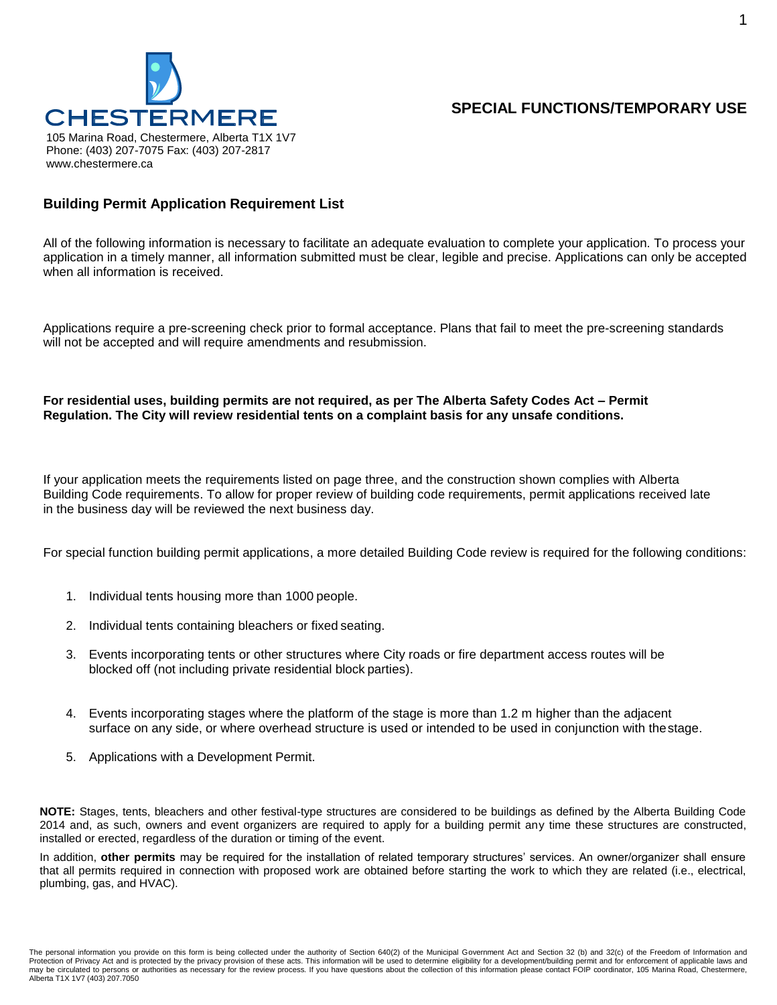

### **SPECIAL FUNCTIONS/TEMPORARY USE**

#### **Building Permit Application Requirement List**

All of the following information is necessary to facilitate an adequate evaluation to complete your application. To process your application in a timely manner, all information submitted must be clear, legible and precise. Applications can only be accepted when all information is received.

Applications require a pre-screening check prior to formal acceptance. Plans that fail to meet the pre-screening standards will not be accepted and will require amendments and resubmission.

#### **For residential uses, building permits are not required, as per The Alberta Safety Codes Act – Permit Regulation. The City will review residential tents on a complaint basis for any unsafe conditions.**

If your application meets the requirements listed on page three, and the construction shown complies with Alberta Building Code requirements. To allow for proper review of building code requirements, permit applications received late in the business day will be reviewed the next business day.

For special function building permit applications, a more detailed Building Code review is required for the following conditions:

- 1. Individual tents housing more than 1000 people.
- 2. Individual tents containing bleachers or fixed seating.
- 3. Events incorporating tents or other structures where City roads or fire department access routes will be blocked off (not including private residential block parties).
- 4. Events incorporating stages where the platform of the stage is more than 1.2 m higher than the adjacent surface on any side, or where overhead structure is used or intended to be used in conjunction with thestage.
- 5. Applications with a Development Permit.

**NOTE:** Stages, tents, bleachers and other festival-type structures are considered to be buildings as defined by the Alberta Building Code 2014 and, as such, owners and event organizers are required to apply for a building permit any time these structures are constructed, installed or erected, regardless of the duration or timing of the event.

In addition, **other permits** may be required for the installation of related temporary structures' services. An owner/organizer shall ensure that all permits required in connection with proposed work are obtained before starting the work to which they are related (i.e., electrical, plumbing, gas, and HVAC).

The personal information you provide on this form is being collected under the authority of Section 640(2) of the Municipal Government Act and Section 32 (b) and 32(c) of the Freedom of Information and Protection of Privacy Act and is protected by the privacy provision of these acts. This information will be used to determine eligibility for a development/building permit and for enforcement of applicable laws and may be circulated to persons or authorities as necessary for the review process. If you have questions about the collection of this information please contact FOIP coordinator, 105 Marina Road, Chestermere, Alberta T1X 1V7 (403) 207.7050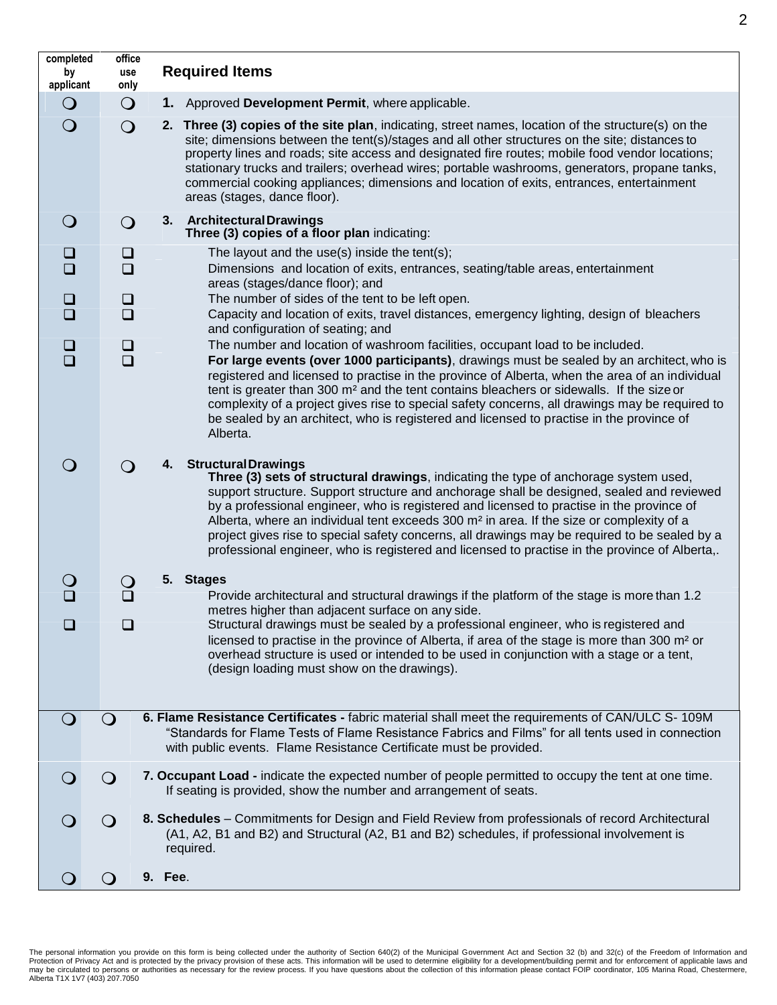**completed by applicant office use only Required Items 1.** Approved Development Permit, where applicable. **2. Three (3) copies of the site plan**, indicating, street names, location of the structure(s) on the site; dimensions between the tent(s)/stages and all other structures on the site; distances to property lines and roads; site access and designated fire routes; mobile food vendor locations; stationary trucks and trailers; overhead wires; portable washrooms, generators, propane tanks, commercial cooking appliances; dimensions and location of exits, entrances, entertainment areas (stages, dance floor). **3. ArchitecturalDrawings Three (3) copies of a floor plan** indicating:  $\Box$   $\Box$  The layout and the use(s) inside the tent(s); Dimensions and location of exits, entrances, seating/table areas, entertainment areas (stages/dance floor); and  $\Box$   $\Box$  The number of sides of the tent to be left open. Capacity and location of exits, travel distances, emergency lighting, design of bleachers and configuration of seating; and  $\square$  The number and location of washroom facilities, occupant load to be included.<br> $\square$  **For large events (over 1000 participants)**, drawings must be sealed by an architect, who is registered and licensed to practise in the province of Alberta, when the area of an individual tent is greater than 300 m² and the tent contains bleachers or sidewalls. If the size or complexity of a project gives rise to special safety concerns, all drawings may be required to be sealed by an architect, who is registered and licensed to practise in the province of Alberta. **4. StructuralDrawings Three (3) sets of structural drawings**, indicating the type of anchorage system used, support structure. Support structure and anchorage shall be designed, sealed and reviewed by a professional engineer, who is registered and licensed to practise in the province of Alberta, where an individual tent exceeds  $300 \text{ m}^2$  in area. If the size or complexity of a project gives rise to special safety concerns, all drawings may be required to be sealed by a professional engineer, who is registered and licensed to practise in the province of Alberta,. **5. Stages** Provide architectural and structural drawings if the platform of the stage is more than 1.2 metres higher than adjacent surface on any side. □ □ Structural drawings must be sealed by a professional engineer, who is registered and licensed to practise in the province of Alberta, if area of the stage is more than 300 m² or overhead structure is used or intended to be used in conjunction with a stage or a tent, (design loading must show on the drawings). **6. Flame Resistance Certificates -** fabric material shall meet the requirements of CAN/ULC S-109M "Standards for Flame Tests of Flame Resistance Fabrics and Films" for all tents used in connection with public events. Flame Resistance Certificate must be provided. **7. Occupant Load -** indicate the expected number of people permitted to occupy the tent at one time. If seating is provided, show the number and arrangement of seats. **8. Schedules** – Commitments for Design and Field Review from professionals of record Architectural (A1, A2, B1 and B2) and Structural (A2, B1 and B2) schedules, if professional involvement is required. **9. Fee**.

The personal information you provide on this form is being collected under the authority of Section 640(2) of the Municipal Government Act and Section 32 (b) and 32(c) of the Freedom of Information and Protection of Privacy Act and is protected by the privacy provision of these acts. This information will be used to determine eligibility for a development/building permit and for enforcement of applicable laws and may be circulated to persons or authorities as necessary for the review process. If you have questions about the collection of this information please contact FOIP coordinator, 105 Marina Road, Chestermere, Alberta T1X 1V7 (403) 207.7050